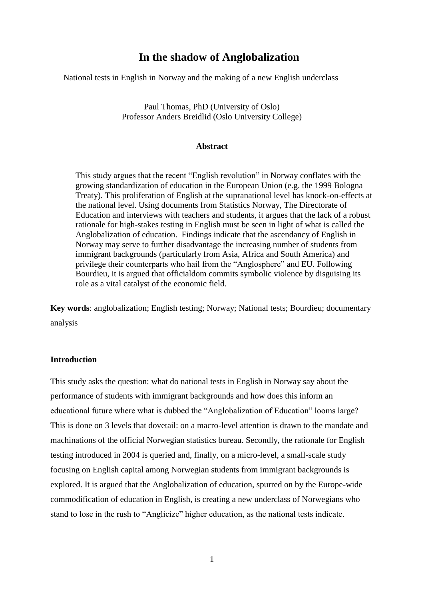# **In the shadow of Anglobalization**

National tests in English in Norway and the making of a new English underclass

Paul Thomas, PhD (University of Oslo) Professor Anders Breidlid (Oslo University College)

#### **Abstract**

This study argues that the recent "English revolution" in Norway conflates with the growing standardization of education in the European Union (e.g. the 1999 Bologna Treaty). This proliferation of English at the supranational level has knock-on-effects at the national level. Using documents from Statistics Norway, The Directorate of Education and interviews with teachers and students, it argues that the lack of a robust rationale for high-stakes testing in English must be seen in light of what is called the Anglobalization of education. Findings indicate that the ascendancy of English in Norway may serve to further disadvantage the increasing number of students from immigrant backgrounds (particularly from Asia, Africa and South America) and privilege their counterparts who hail from the "Anglosphere" and EU. Following Bourdieu, it is argued that officialdom commits symbolic violence by disguising its role as a vital catalyst of the economic field.

**Key words**: anglobalization; English testing; Norway; National tests; Bourdieu; documentary analysis

#### **Introduction**

This study asks the question: what do national tests in English in Norway say about the performance of students with immigrant backgrounds and how does this inform an educational future where what is dubbed the "Anglobalization of Education" looms large? This is done on 3 levels that dovetail: on a macro-level attention is drawn to the mandate and machinations of the official Norwegian statistics bureau. Secondly, the rationale for English testing introduced in 2004 is queried and, finally, on a micro-level, a small-scale study focusing on English capital among Norwegian students from immigrant backgrounds is explored. It is argued that the Anglobalization of education, spurred on by the Europe-wide commodification of education in English, is creating a new underclass of Norwegians who stand to lose in the rush to "Anglicize" higher education, as the national tests indicate.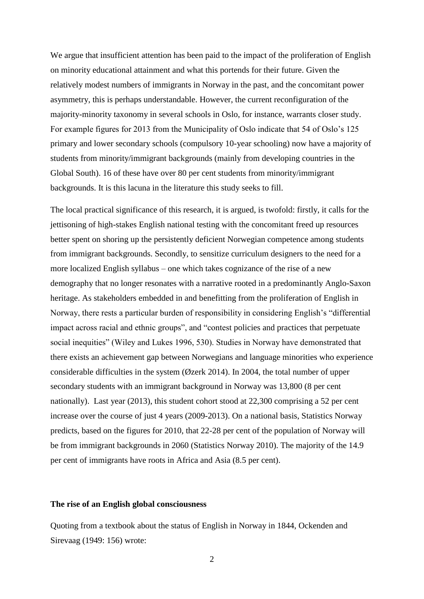We argue that insufficient attention has been paid to the impact of the proliferation of English on minority educational attainment and what this portends for their future. Given the relatively modest numbers of immigrants in Norway in the past, and the concomitant power asymmetry, this is perhaps understandable. However, the current reconfiguration of the majority-minority taxonomy in several schools in Oslo, for instance, warrants closer study. For example figures for 2013 from the Municipality of Oslo indicate that 54 of Oslo's 125 primary and lower secondary schools (compulsory 10-year schooling) now have a majority of students from minority/immigrant backgrounds (mainly from developing countries in the Global South). 16 of these have over 80 per cent students from minority/immigrant backgrounds. It is this lacuna in the literature this study seeks to fill.

The local practical significance of this research, it is argued, is twofold: firstly, it calls for the jettisoning of high-stakes English national testing with the concomitant freed up resources better spent on shoring up the persistently deficient Norwegian competence among students from immigrant backgrounds. Secondly, to sensitize curriculum designers to the need for a more localized English syllabus – one which takes cognizance of the rise of a new demography that no longer resonates with a narrative rooted in a predominantly Anglo-Saxon heritage. As stakeholders embedded in and benefitting from the proliferation of English in Norway, there rests a particular burden of responsibility in considering English's "differential impact across racial and ethnic groups", and "contest policies and practices that perpetuate social inequities" (Wiley and Lukes 1996, 530). Studies in Norway have demonstrated that there exists an achievement gap between Norwegians and language minorities who experience considerable difficulties in the system (Øzerk 2014). In 2004, the total number of upper secondary students with an immigrant background in Norway was 13,800 (8 per cent nationally). Last year (2013), this student cohort stood at 22,300 comprising a 52 per cent increase over the course of just 4 years (2009-2013). On a national basis, Statistics Norway predicts, based on the figures for 2010, that 22-28 per cent of the population of Norway will be from immigrant backgrounds in 2060 (Statistics Norway 2010). The majority of the 14.9 per cent of immigrants have roots in Africa and Asia (8.5 per cent).

## **The rise of an English global consciousness**

Quoting from a textbook about the status of English in Norway in 1844, Ockenden and Sirevaag (1949: 156) wrote: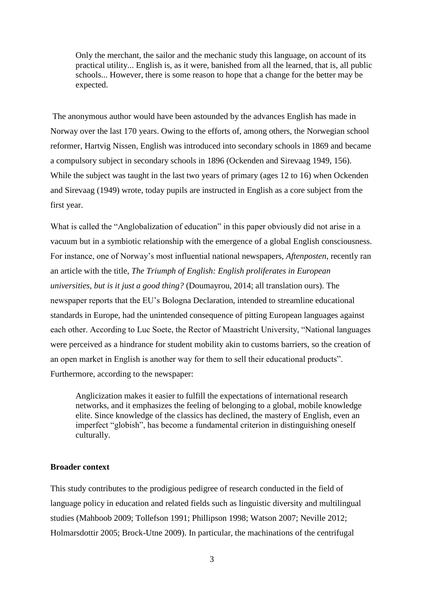Only the merchant, the sailor and the mechanic study this language, on account of its practical utility... English is, as it were, banished from all the learned, that is, all public schools... However, there is some reason to hope that a change for the better may be expected.

The anonymous author would have been astounded by the advances English has made in Norway over the last 170 years. Owing to the efforts of, among others, the Norwegian school reformer, Hartvig Nissen, English was introduced into secondary schools in 1869 and became a compulsory subject in secondary schools in 1896 (Ockenden and Sirevaag 1949, 156). While the subject was taught in the last two years of primary (ages 12 to 16) when Ockenden and Sirevaag (1949) wrote, today pupils are instructed in English as a core subject from the first year.

What is called the "Anglobalization of education" in this paper obviously did not arise in a vacuum but in a symbiotic relationship with the emergence of a global English consciousness. For instance, one of Norway's most influential national newspapers, *Aftenposten*, recently ran an article with the title, *The Triumph of English: English proliferates in European universities, but is it just a good thing?* (Doumayrou, 2014; all translation ours). The newspaper reports that the EU's Bologna Declaration, intended to streamline educational standards in Europe, had the unintended consequence of pitting European languages against each other. According to Luc Soete, the Rector of Maastricht University, "National languages were perceived as a hindrance for student mobility akin to customs barriers, so the creation of an open market in English is another way for them to sell their educational products". Furthermore, according to the newspaper:

Anglicization makes it easier to fulfill the expectations of international research networks, and it emphasizes the feeling of belonging to a global, mobile knowledge elite. Since knowledge of the classics has declined, the mastery of English, even an imperfect "globish", has become a fundamental criterion in distinguishing oneself culturally.

# **Broader context**

This study contributes to the prodigious pedigree of research conducted in the field of language policy in education and related fields such as linguistic diversity and multilingual studies (Mahboob 2009; Tollefson 1991; Phillipson 1998; Watson 2007; Neville 2012; Holmarsdottir 2005; Brock-Utne 2009). In particular, the machinations of the centrifugal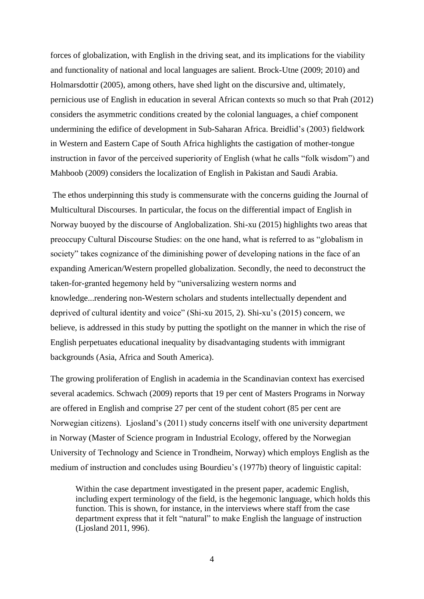forces of globalization, with English in the driving seat, and its implications for the viability and functionality of national and local languages are salient. Brock-Utne (2009; 2010) and Holmarsdottir (2005), among others, have shed light on the discursive and, ultimately, pernicious use of English in education in several African contexts so much so that Prah (2012) considers the asymmetric conditions created by the colonial languages, a chief component undermining the edifice of development in Sub-Saharan Africa. Breidlid's (2003) fieldwork in Western and Eastern Cape of South Africa highlights the castigation of mother-tongue instruction in favor of the perceived superiority of English (what he calls "folk wisdom") and Mahboob (2009) considers the localization of English in Pakistan and Saudi Arabia.

The ethos underpinning this study is commensurate with the concerns guiding the Journal of Multicultural Discourses. In particular, the focus on the differential impact of English in Norway buoyed by the discourse of Anglobalization. Shi-xu (2015) highlights two areas that preoccupy Cultural Discourse Studies: on the one hand, what is referred to as "globalism in society" takes cognizance of the diminishing power of developing nations in the face of an expanding American/Western propelled globalization. Secondly, the need to deconstruct the taken-for-granted hegemony held by "universalizing western norms and knowledge...rendering non-Western scholars and students intellectually dependent and deprived of cultural identity and voice" (Shi-xu 2015, 2). Shi-xu's (2015) concern, we believe, is addressed in this study by putting the spotlight on the manner in which the rise of English perpetuates educational inequality by disadvantaging students with immigrant backgrounds (Asia, Africa and South America).

The growing proliferation of English in academia in the Scandinavian context has exercised several academics. Schwach (2009) reports that 19 per cent of Masters Programs in Norway are offered in English and comprise 27 per cent of the student cohort (85 per cent are Norwegian citizens). Ljosland's (2011) study concerns itself with one university department in Norway (Master of Science program in Industrial Ecology, offered by the Norwegian University of Technology and Science in Trondheim, Norway) which employs English as the medium of instruction and concludes using Bourdieu's (1977b) theory of linguistic capital:

Within the case department investigated in the present paper, academic English, including expert terminology of the field, is the hegemonic language, which holds this function. This is shown, for instance, in the interviews where staff from the case department express that it felt "natural" to make English the language of instruction (Ljosland 2011, 996).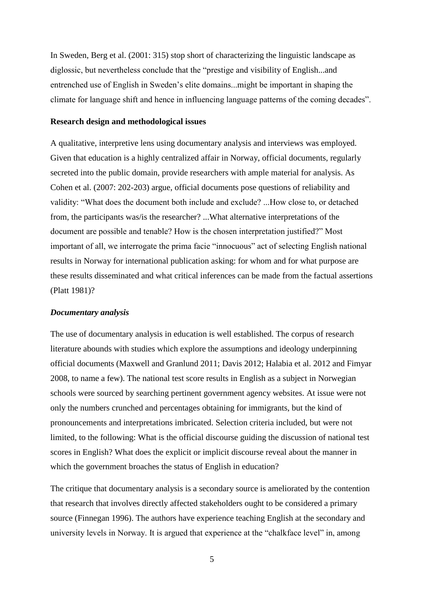In Sweden, Berg et al. (2001: 315) stop short of characterizing the linguistic landscape as diglossic, but nevertheless conclude that the "prestige and visibility of English...and entrenched use of English in Sweden's elite domains...might be important in shaping the climate for language shift and hence in influencing language patterns of the coming decades".

#### **Research design and methodological issues**

A qualitative, interpretive lens using documentary analysis and interviews was employed. Given that education is a highly centralized affair in Norway, official documents, regularly secreted into the public domain, provide researchers with ample material for analysis. As Cohen et al. (2007: 202-203) argue, official documents pose questions of reliability and validity: "What does the document both include and exclude? ...How close to, or detached from, the participants was/is the researcher? ...What alternative interpretations of the document are possible and tenable? How is the chosen interpretation justified?" Most important of all, we interrogate the prima facie "innocuous" act of selecting English national results in Norway for international publication asking: for whom and for what purpose are these results disseminated and what critical inferences can be made from the factual assertions (Platt 1981)?

#### *Documentary analysis*

The use of documentary analysis in education is well established. The corpus of research literature abounds with studies which explore the assumptions and ideology underpinning official documents (Maxwell and Granlund 2011; Davis 2012; Halabia et al. 2012 and Fimyar 2008, to name a few). The national test score results in English as a subject in Norwegian schools were sourced by searching pertinent government agency websites. At issue were not only the numbers crunched and percentages obtaining for immigrants, but the kind of pronouncements and interpretations imbricated. Selection criteria included, but were not limited, to the following: What is the official discourse guiding the discussion of national test scores in English? What does the explicit or implicit discourse reveal about the manner in which the government broaches the status of English in education?

The critique that documentary analysis is a secondary source is ameliorated by the contention that research that involves directly affected stakeholders ought to be considered a primary source (Finnegan 1996). The authors have experience teaching English at the secondary and university levels in Norway. It is argued that experience at the "chalkface level" in, among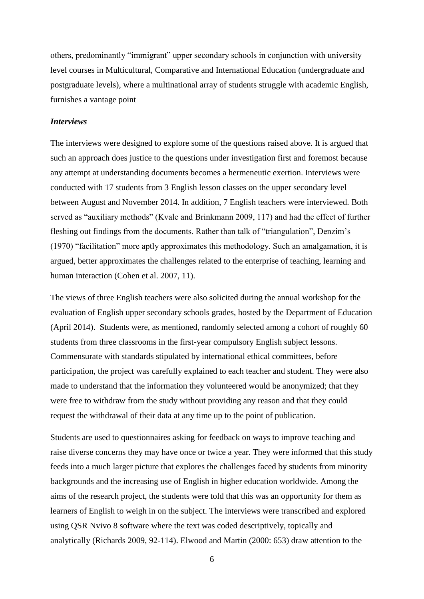others, predominantly "immigrant" upper secondary schools in conjunction with university level courses in Multicultural, Comparative and International Education (undergraduate and postgraduate levels), where a multinational array of students struggle with academic English, furnishes a vantage point

#### *Interviews*

The interviews were designed to explore some of the questions raised above. It is argued that such an approach does justice to the questions under investigation first and foremost because any attempt at understanding documents becomes a hermeneutic exertion. Interviews were conducted with 17 students from 3 English lesson classes on the upper secondary level between August and November 2014. In addition, 7 English teachers were interviewed. Both served as "auxiliary methods" (Kvale and Brinkmann 2009, 117) and had the effect of further fleshing out findings from the documents. Rather than talk of "triangulation", Denzim's (1970) "facilitation" more aptly approximates this methodology. Such an amalgamation, it is argued, better approximates the challenges related to the enterprise of teaching, learning and human interaction (Cohen et al. 2007, 11).

The views of three English teachers were also solicited during the annual workshop for the evaluation of English upper secondary schools grades, hosted by the Department of Education (April 2014). Students were, as mentioned, randomly selected among a cohort of roughly 60 students from three classrooms in the first-year compulsory English subject lessons. Commensurate with standards stipulated by international ethical committees, before participation, the project was carefully explained to each teacher and student. They were also made to understand that the information they volunteered would be anonymized; that they were free to withdraw from the study without providing any reason and that they could request the withdrawal of their data at any time up to the point of publication.

Students are used to questionnaires asking for feedback on ways to improve teaching and raise diverse concerns they may have once or twice a year. They were informed that this study feeds into a much larger picture that explores the challenges faced by students from minority backgrounds and the increasing use of English in higher education worldwide. Among the aims of the research project, the students were told that this was an opportunity for them as learners of English to weigh in on the subject. The interviews were transcribed and explored using QSR Nvivo 8 software where the text was coded descriptively, topically and analytically (Richards 2009, 92-114). Elwood and Martin (2000: 653) draw attention to the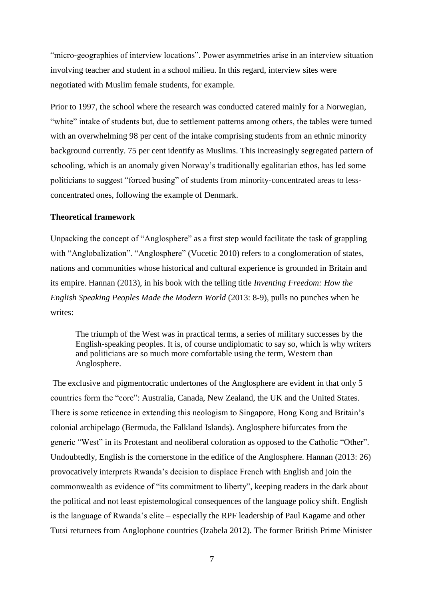"micro-geographies of interview locations". Power asymmetries arise in an interview situation involving teacher and student in a school milieu. In this regard, interview sites were negotiated with Muslim female students, for example.

Prior to 1997, the school where the research was conducted catered mainly for a Norwegian, "white" intake of students but, due to settlement patterns among others, the tables were turned with an overwhelming 98 per cent of the intake comprising students from an ethnic minority background currently. 75 per cent identify as Muslims. This increasingly segregated pattern of schooling, which is an anomaly given Norway's traditionally egalitarian ethos, has led some politicians to suggest "forced busing" of students from minority-concentrated areas to lessconcentrated ones, following the example of Denmark.

## **Theoretical framework**

Unpacking the concept of "Anglosphere" as a first step would facilitate the task of grappling with "Anglobalization". "Anglosphere" (Vucetic 2010) refers to a conglomeration of states, nations and communities whose historical and cultural experience is grounded in Britain and its empire. Hannan (2013), in his book with the telling title *Inventing Freedom: How the English Speaking Peoples Made the Modern World* (2013: 8-9), pulls no punches when he writes:

The triumph of the West was in practical terms, a series of military successes by the English-speaking peoples. It is, of course undiplomatic to say so, which is why writers and politicians are so much more comfortable using the term, Western than Anglosphere.

The exclusive and pigmentocratic undertones of the Anglosphere are evident in that only 5 countries form the "core": Australia, Canada, New Zealand, the UK and the United States. There is some reticence in extending this neologism to Singapore, Hong Kong and Britain's colonial archipelago (Bermuda, the Falkland Islands). Anglosphere bifurcates from the generic "West" in its Protestant and neoliberal coloration as opposed to the Catholic "Other". Undoubtedly, English is the cornerstone in the edifice of the Anglosphere. Hannan (2013: 26) provocatively interprets Rwanda's decision to displace French with English and join the commonwealth as evidence of "its commitment to liberty", keeping readers in the dark about the political and not least epistemological consequences of the language policy shift. English is the language of Rwanda's elite – especially the RPF leadership of Paul Kagame and other Tutsi returnees from Anglophone countries (Izabela 2012). The former British Prime Minister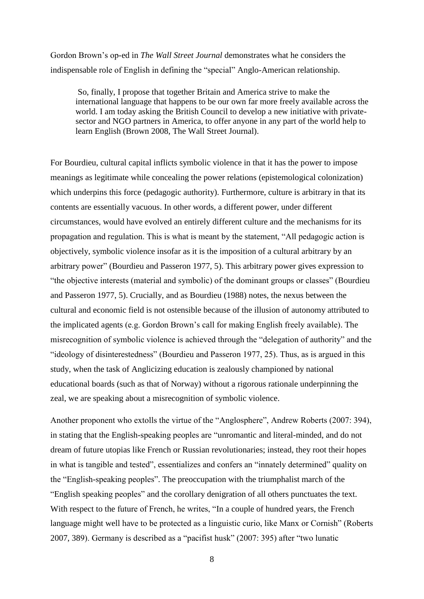Gordon Brown's op-ed in *The Wall Street Journal* demonstrates what he considers the indispensable role of English in defining the "special" Anglo-American relationship.

So, finally, I propose that together Britain and America strive to make the international language that happens to be our own far more freely available across the world. I am today asking the British Council to develop a new initiative with privatesector and NGO partners in America, to offer anyone in any part of the world help to learn English (Brown 2008, The Wall Street Journal).

For Bourdieu, cultural capital inflicts symbolic violence in that it has the power to impose meanings as legitimate while concealing the power relations (epistemological colonization) which underpins this force (pedagogic authority). Furthermore, culture is arbitrary in that its contents are essentially vacuous. In other words, a different power, under different circumstances, would have evolved an entirely different culture and the mechanisms for its propagation and regulation. This is what is meant by the statement, "All pedagogic action is objectively, symbolic violence insofar as it is the imposition of a cultural arbitrary by an arbitrary power" (Bourdieu and Passeron 1977, 5). This arbitrary power gives expression to "the objective interests (material and symbolic) of the dominant groups or classes" (Bourdieu and Passeron 1977, 5). Crucially, and as Bourdieu (1988) notes, the nexus between the cultural and economic field is not ostensible because of the illusion of autonomy attributed to the implicated agents (e.g. Gordon Brown's call for making English freely available). The misrecognition of symbolic violence is achieved through the "delegation of authority" and the "ideology of disinterestedness" (Bourdieu and Passeron 1977, 25). Thus, as is argued in this study, when the task of Anglicizing education is zealously championed by national educational boards (such as that of Norway) without a rigorous rationale underpinning the zeal, we are speaking about a misrecognition of symbolic violence.

Another proponent who extolls the virtue of the "Anglosphere", Andrew Roberts (2007: 394), in stating that the English-speaking peoples are "unromantic and literal-minded, and do not dream of future utopias like French or Russian revolutionaries; instead, they root their hopes in what is tangible and tested", essentializes and confers an "innately determined" quality on the "English-speaking peoples". The preoccupation with the triumphalist march of the "English speaking peoples" and the corollary denigration of all others punctuates the text. With respect to the future of French, he writes, "In a couple of hundred years, the French language might well have to be protected as a linguistic curio, like Manx or Cornish" (Roberts 2007, 389). Germany is described as a "pacifist husk" (2007: 395) after "two lunatic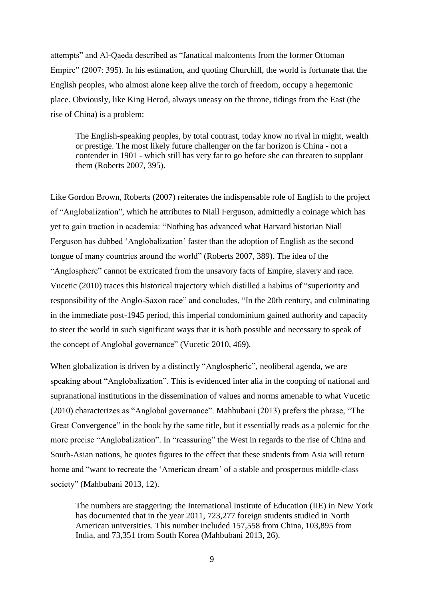attempts" and Al-Qaeda described as "fanatical malcontents from the former Ottoman Empire" (2007: 395). In his estimation, and quoting Churchill, the world is fortunate that the English peoples, who almost alone keep alive the torch of freedom, occupy a hegemonic place. Obviously, like King Herod, always uneasy on the throne, tidings from the East (the rise of China) is a problem:

The English-speaking peoples, by total contrast, today know no rival in might, wealth or prestige. The most likely future challenger on the far horizon is China - not a contender in 1901 - which still has very far to go before she can threaten to supplant them (Roberts 2007, 395).

Like Gordon Brown, Roberts (2007) reiterates the indispensable role of English to the project of "Anglobalization", which he attributes to Niall Ferguson, admittedly a coinage which has yet to gain traction in academia: "Nothing has advanced what Harvard historian Niall Ferguson has dubbed 'Anglobalization' faster than the adoption of English as the second tongue of many countries around the world" (Roberts 2007, 389). The idea of the "Anglosphere" cannot be extricated from the unsavory facts of Empire, slavery and race. Vucetic (2010) traces this historical trajectory which distilled a habitus of "superiority and responsibility of the Anglo-Saxon race" and concludes, "In the 20th century, and culminating in the immediate post-1945 period, this imperial condominium gained authority and capacity to steer the world in such significant ways that it is both possible and necessary to speak of the concept of Anglobal governance" (Vucetic 2010, 469).

When globalization is driven by a distinctly "Anglospheric", neoliberal agenda, we are speaking about "Anglobalization". This is evidenced inter alia in the coopting of national and supranational institutions in the dissemination of values and norms amenable to what Vucetic (2010) characterizes as "Anglobal governance". Mahbubani (2013) prefers the phrase, "The Great Convergence" in the book by the same title, but it essentially reads as a polemic for the more precise "Anglobalization". In "reassuring" the West in regards to the rise of China and South-Asian nations, he quotes figures to the effect that these students from Asia will return home and "want to recreate the 'American dream' of a stable and prosperous middle-class society" (Mahbubani 2013, 12).

The numbers are staggering: the International Institute of Education (IIE) in New York has documented that in the year 2011, 723,277 foreign students studied in North American universities. This number included 157,558 from China, 103,895 from India, and 73,351 from South Korea (Mahbubani 2013, 26).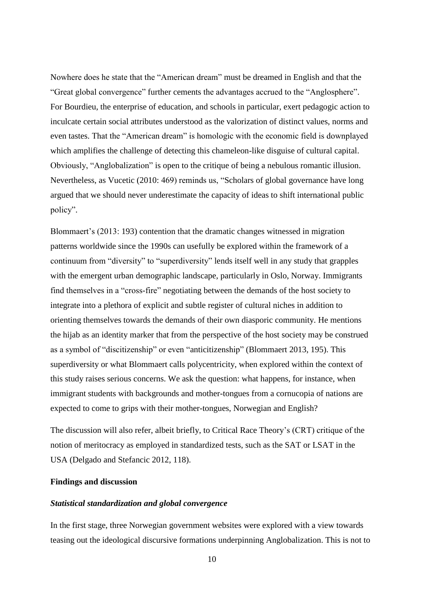Nowhere does he state that the "American dream" must be dreamed in English and that the "Great global convergence" further cements the advantages accrued to the "Anglosphere". For Bourdieu, the enterprise of education, and schools in particular, exert pedagogic action to inculcate certain social attributes understood as the valorization of distinct values, norms and even tastes. That the "American dream" is homologic with the economic field is downplayed which amplifies the challenge of detecting this chameleon-like disguise of cultural capital. Obviously, "Anglobalization" is open to the critique of being a nebulous romantic illusion. Nevertheless, as Vucetic (2010: 469) reminds us, "Scholars of global governance have long argued that we should never underestimate the capacity of ideas to shift international public policy".

Blommaert's (2013: 193) contention that the dramatic changes witnessed in migration patterns worldwide since the 1990s can usefully be explored within the framework of a continuum from "diversity" to "superdiversity" lends itself well in any study that grapples with the emergent urban demographic landscape, particularly in Oslo, Norway. Immigrants find themselves in a "cross-fire" negotiating between the demands of the host society to integrate into a plethora of explicit and subtle register of cultural niches in addition to orienting themselves towards the demands of their own diasporic community. He mentions the hijab as an identity marker that from the perspective of the host society may be construed as a symbol of "discitizenship" or even "anticitizenship" (Blommaert 2013, 195). This superdiversity or what Blommaert calls polycentricity, when explored within the context of this study raises serious concerns. We ask the question: what happens, for instance, when immigrant students with backgrounds and mother-tongues from a cornucopia of nations are expected to come to grips with their mother-tongues, Norwegian and English?

The discussion will also refer, albeit briefly, to Critical Race Theory's (CRT) critique of the notion of meritocracy as employed in standardized tests, such as the SAT or LSAT in the USA (Delgado and Stefancic 2012, 118).

#### **Findings and discussion**

#### *Statistical standardization and global convergence*

In the first stage, three Norwegian government websites were explored with a view towards teasing out the ideological discursive formations underpinning Anglobalization. This is not to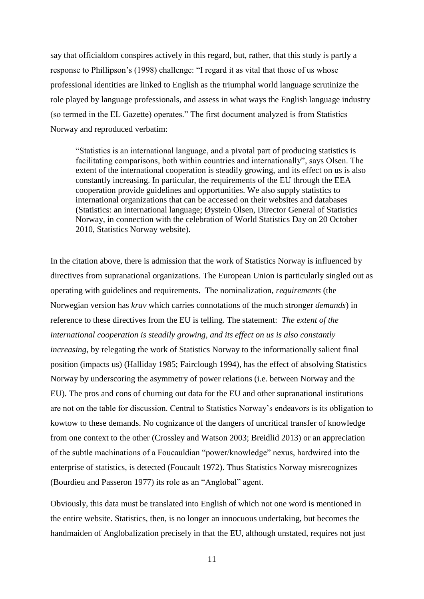say that officialdom conspires actively in this regard, but, rather, that this study is partly a response to Phillipson's (1998) challenge: "I regard it as vital that those of us whose professional identities are linked to English as the triumphal world language scrutinize the role played by language professionals, and assess in what ways the English language industry (so termed in the EL Gazette) operates." The first document analyzed is from Statistics Norway and reproduced verbatim:

"Statistics is an international language, and a pivotal part of producing statistics is facilitating comparisons, both within countries and internationally", says Olsen. The extent of the international cooperation is steadily growing, and its effect on us is also constantly increasing. In particular, the requirements of the EU through the EEA cooperation provide guidelines and opportunities. We also supply statistics to international organizations that can be accessed on their websites and databases (Statistics: an international language; Øystein Olsen, Director General of Statistics Norway, in connection with the celebration of World Statistics Day on 20 October 2010, Statistics Norway website).

In the citation above, there is admission that the work of Statistics Norway is influenced by directives from supranational organizations. The European Union is particularly singled out as operating with guidelines and requirements. The nominalization, *requirements* (the Norwegian version has *krav* which carries connotations of the much stronger *demands*) in reference to these directives from the EU is telling. The statement: *The extent of the international cooperation is steadily growing, and its effect on us is also constantly increasing*, by relegating the work of Statistics Norway to the informationally salient final position (impacts us) (Halliday 1985; Fairclough 1994), has the effect of absolving Statistics Norway by underscoring the asymmetry of power relations (i.e. between Norway and the EU). The pros and cons of churning out data for the EU and other supranational institutions are not on the table for discussion. Central to Statistics Norway's endeavors is its obligation to kowtow to these demands. No cognizance of the dangers of uncritical transfer of knowledge from one context to the other (Crossley and Watson 2003; Breidlid 2013) or an appreciation of the subtle machinations of a Foucauldian "power/knowledge" nexus, hardwired into the enterprise of statistics, is detected (Foucault 1972). Thus Statistics Norway misrecognizes (Bourdieu and Passeron 1977) its role as an "Anglobal" agent.

Obviously, this data must be translated into English of which not one word is mentioned in the entire website. Statistics, then, is no longer an innocuous undertaking, but becomes the handmaiden of Anglobalization precisely in that the EU, although unstated, requires not just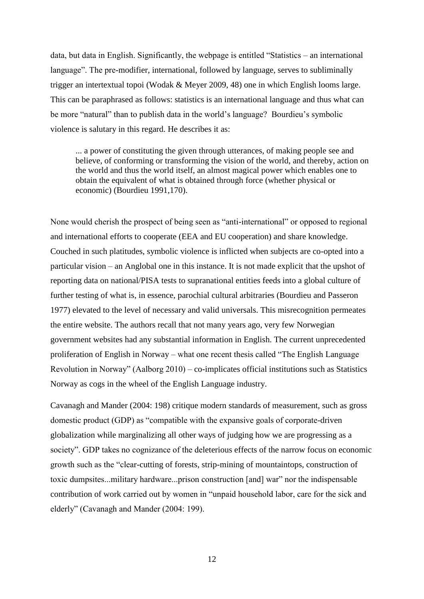data, but data in English. Significantly, the webpage is entitled "Statistics – an international language". The pre-modifier, international, followed by language, serves to subliminally trigger an intertextual topoi (Wodak & Meyer 2009, 48) one in which English looms large. This can be paraphrased as follows: statistics is an international language and thus what can be more "natural" than to publish data in the world's language? Bourdieu's symbolic violence is salutary in this regard. He describes it as:

... a power of constituting the given through utterances, of making people see and believe, of conforming or transforming the vision of the world, and thereby, action on the world and thus the world itself, an almost magical power which enables one to obtain the equivalent of what is obtained through force (whether physical or economic) (Bourdieu 1991,170).

None would cherish the prospect of being seen as "anti-international" or opposed to regional and international efforts to cooperate (EEA and EU cooperation) and share knowledge. Couched in such platitudes, symbolic violence is inflicted when subjects are co-opted into a particular vision – an Anglobal one in this instance. It is not made explicit that the upshot of reporting data on national/PISA tests to supranational entities feeds into a global culture of further testing of what is, in essence, parochial cultural arbitraries (Bourdieu and Passeron 1977) elevated to the level of necessary and valid universals. This misrecognition permeates the entire website. The authors recall that not many years ago, very few Norwegian government websites had any substantial information in English. The current unprecedented proliferation of English in Norway – what one recent thesis called "The English Language Revolution in Norway" (Aalborg 2010) – co-implicates official institutions such as Statistics Norway as cogs in the wheel of the English Language industry.

Cavanagh and Mander (2004: 198) critique modern standards of measurement, such as gross domestic product (GDP) as "compatible with the expansive goals of corporate-driven globalization while marginalizing all other ways of judging how we are progressing as a society". GDP takes no cognizance of the deleterious effects of the narrow focus on economic growth such as the "clear-cutting of forests, strip-mining of mountaintops, construction of toxic dumpsites...military hardware...prison construction [and] war" nor the indispensable contribution of work carried out by women in "unpaid household labor, care for the sick and elderly" (Cavanagh and Mander (2004: 199).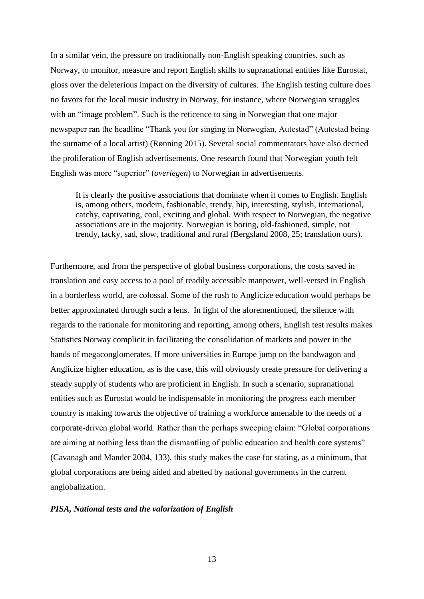In a similar vein, the pressure on traditionally non-English speaking countries, such as Norway, to monitor, measure and report English skills to supranational entities like Eurostat, gloss over the deleterious impact on the diversity of cultures. The English testing culture does no favors for the local music industry in Norway, for instance, where Norwegian struggles with an "image problem". Such is the reticence to sing in Norwegian that one major newspaper ran the headline "Thank you for singing in Norwegian, Autestad" (Autestad being the surname of a local artist) (Rønning 2015). Several social commentators have also decried the proliferation of English advertisements. One research found that Norwegian youth felt English was more "superior" (*overlegen*) to Norwegian in advertisements.

It is clearly the positive associations that dominate when it comes to English. English is, among others, modern, fashionable, trendy, hip, interesting, stylish, international, catchy, captivating, cool, exciting and global. With respect to Norwegian, the negative associations are in the majority. Norwegian is boring, old-fashioned, simple, not trendy, tacky, sad, slow, traditional and rural (Bergsland 2008, 25; translation ours).

Furthermore, and from the perspective of global business corporations, the costs saved in translation and easy access to a pool of readily accessible manpower, well-versed in English in a borderless world, are colossal. Some of the rush to Anglicize education would perhaps be better approximated through such a lens. In light of the aforementioned, the silence with regards to the rationale for monitoring and reporting, among others, English test results makes Statistics Norway complicit in facilitating the consolidation of markets and power in the hands of megaconglomerates. If more universities in Europe jump on the bandwagon and Anglicize higher education, as is the case, this will obviously create pressure for delivering a steady supply of students who are proficient in English. In such a scenario, supranational entities such as Eurostat would be indispensable in monitoring the progress each member country is making towards the objective of training a workforce amenable to the needs of a corporate-driven global world. Rather than the perhaps sweeping claim: "Global corporations are aiming at nothing less than the dismantling of public education and health care systems" (Cavanagh and Mander 2004, 133), this study makes the case for stating, as a minimum, that global corporations are being aided and abetted by national governments in the current anglobalization.

#### *PISA, National tests and the valorization of English*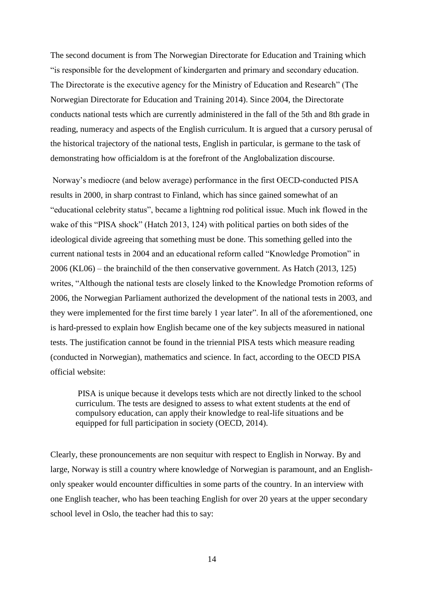The second document is from The Norwegian Directorate for Education and Training which "is responsible for the development of kindergarten and primary and secondary education. The Directorate is the executive agency for the Ministry of Education and Research" (The Norwegian Directorate for Education and Training 2014). Since 2004, the Directorate conducts national tests which are currently administered in the fall of the 5th and 8th grade in reading, numeracy and aspects of the English curriculum. It is argued that a cursory perusal of the historical trajectory of the national tests, English in particular, is germane to the task of demonstrating how officialdom is at the forefront of the Anglobalization discourse.

Norway's mediocre (and below average) performance in the first OECD-conducted PISA results in 2000, in sharp contrast to Finland, which has since gained somewhat of an "educational celebrity status", became a lightning rod political issue. Much ink flowed in the wake of this "PISA shock" (Hatch 2013, 124) with political parties on both sides of the ideological divide agreeing that something must be done. This something gelled into the current national tests in 2004 and an educational reform called "Knowledge Promotion" in 2006 (KL06) – the brainchild of the then conservative government. As Hatch (2013, 125) writes, "Although the national tests are closely linked to the Knowledge Promotion reforms of 2006, the Norwegian Parliament authorized the development of the national tests in 2003, and they were implemented for the first time barely 1 year later". In all of the aforementioned, one is hard-pressed to explain how English became one of the key subjects measured in national tests. The justification cannot be found in the triennial PISA tests which measure reading (conducted in Norwegian), mathematics and science. In fact, according to the OECD PISA official website:

PISA is unique because it develops tests which are not directly linked to the school curriculum. The tests are designed to assess to what extent students at the end of compulsory education, can apply their knowledge to real-life situations and be equipped for full participation in society (OECD, 2014).

Clearly, these pronouncements are non sequitur with respect to English in Norway. By and large, Norway is still a country where knowledge of Norwegian is paramount, and an Englishonly speaker would encounter difficulties in some parts of the country. In an interview with one English teacher, who has been teaching English for over 20 years at the upper secondary school level in Oslo, the teacher had this to say: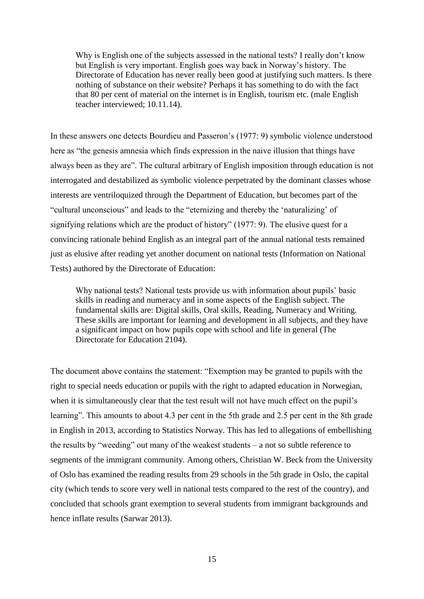Why is English one of the subjects assessed in the national tests? I really don't know but English is very important. English goes way back in Norway's history. The Directorate of Education has never really been good at justifying such matters. Is there nothing of substance on their website? Perhaps it has something to do with the fact that 80 per cent of material on the internet is in English, tourism etc. (male English teacher interviewed; 10.11.14).

In these answers one detects Bourdieu and Passeron's (1977: 9) symbolic violence understood here as "the genesis amnesia which finds expression in the naive illusion that things have always been as they are". The cultural arbitrary of English imposition through education is not interrogated and destabilized as symbolic violence perpetrated by the dominant classes whose interests are ventriloquized through the Department of Education, but becomes part of the "cultural unconscious" and leads to the "eternizing and thereby the 'naturalizing' of signifying relations which are the product of history" (1977: 9). The elusive quest for a convincing rationale behind English as an integral part of the annual national tests remained just as elusive after reading yet another document on national tests (Information on National Tests) authored by the Directorate of Education:

Why national tests? National tests provide us with information about pupils' basic skills in reading and numeracy and in some aspects of the English subject. The fundamental skills are: Digital skills, Oral skills, Reading, Numeracy and Writing. These skills are important for learning and development in all subjects, and they have a significant impact on how pupils cope with school and life in general (The Directorate for Education 2104).

The document above contains the statement: "Exemption may be granted to pupils with the right to special needs education or pupils with the right to adapted education in Norwegian, when it is simultaneously clear that the test result will not have much effect on the pupil's learning". This amounts to about 4.3 per cent in the 5th grade and 2.5 per cent in the 8th grade in English in 2013, according to Statistics Norway. This has led to allegations of embellishing the results by "weeding" out many of the weakest students – a not so subtle reference to segments of the immigrant community. Among others, Christian W. Beck from the University of Oslo has examined the reading results from 29 schools in the 5th grade in Oslo, the capital city (which tends to score very well in national tests compared to the rest of the country), and concluded that schools grant exemption to several students from immigrant backgrounds and hence inflate results (Sarwar 2013).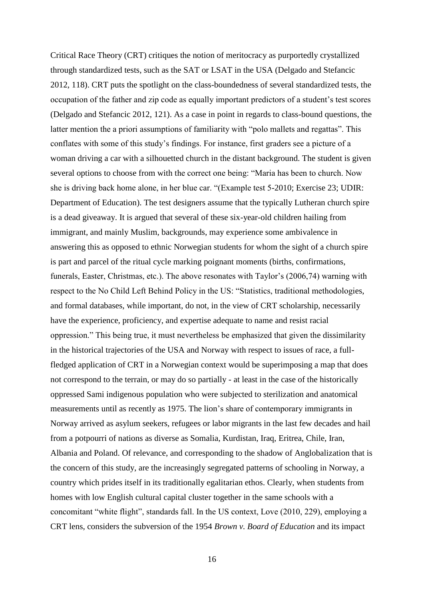Critical Race Theory (CRT) critiques the notion of meritocracy as purportedly crystallized through standardized tests, such as the SAT or LSAT in the USA (Delgado and Stefancic 2012, 118). CRT puts the spotlight on the class-boundedness of several standardized tests, the occupation of the father and zip code as equally important predictors of a student's test scores (Delgado and Stefancic 2012, 121). As a case in point in regards to class-bound questions, the latter mention the a priori assumptions of familiarity with "polo mallets and regattas". This conflates with some of this study's findings. For instance, first graders see a picture of a woman driving a car with a silhouetted church in the distant background. The student is given several options to choose from with the correct one being: "Maria has been to church. Now she is driving back home alone, in her blue car. "(Example test 5-2010; Exercise 23; UDIR: Department of Education). The test designers assume that the typically Lutheran church spire is a dead giveaway. It is argued that several of these six-year-old children hailing from immigrant, and mainly Muslim, backgrounds, may experience some ambivalence in answering this as opposed to ethnic Norwegian students for whom the sight of a church spire is part and parcel of the ritual cycle marking poignant moments (births, confirmations, funerals, Easter, Christmas, etc.). The above resonates with Taylor's (2006,74) warning with respect to the No Child Left Behind Policy in the US: "Statistics, traditional methodologies, and formal databases, while important, do not, in the view of CRT scholarship, necessarily have the experience, proficiency, and expertise adequate to name and resist racial oppression." This being true, it must nevertheless be emphasized that given the dissimilarity in the historical trajectories of the USA and Norway with respect to issues of race, a fullfledged application of CRT in a Norwegian context would be superimposing a map that does not correspond to the terrain, or may do so partially - at least in the case of the historically oppressed Sami indigenous population who were subjected to sterilization and anatomical measurements until as recently as 1975. The lion's share of contemporary immigrants in Norway arrived as asylum seekers, refugees or labor migrants in the last few decades and hail from a potpourri of nations as diverse as Somalia, Kurdistan, Iraq, Eritrea, Chile, Iran, Albania and Poland. Of relevance, and corresponding to the shadow of Anglobalization that is the concern of this study, are the increasingly segregated patterns of schooling in Norway, a country which prides itself in its traditionally egalitarian ethos. Clearly, when students from homes with low English cultural capital cluster together in the same schools with a concomitant "white flight", standards fall. In the US context, Love (2010, 229), employing a CRT lens, considers the subversion of the 1954 *Brown v. Board of Education* and its impact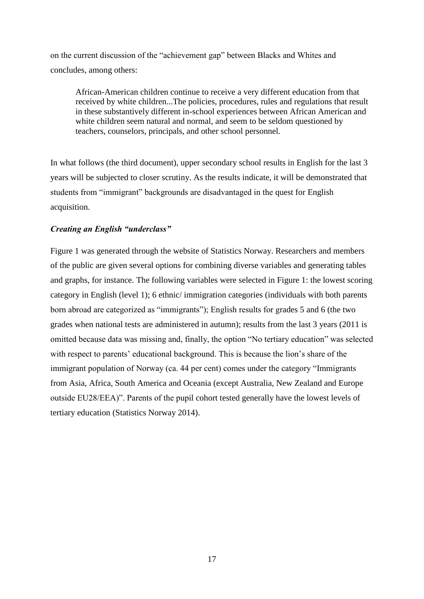on the current discussion of the "achievement gap" between Blacks and Whites and concludes, among others:

African-American children continue to receive a very different education from that received by white children...The policies, procedures, rules and regulations that result in these substantively different in-school experiences between African American and white children seem natural and normal, and seem to be seldom questioned by teachers, counselors, principals, and other school personnel.

In what follows (the third document), upper secondary school results in English for the last 3 years will be subjected to closer scrutiny. As the results indicate, it will be demonstrated that students from "immigrant" backgrounds are disadvantaged in the quest for English acquisition.

# *Creating an English "underclass"*

Figure 1 was generated through the website of Statistics Norway. Researchers and members of the public are given several options for combining diverse variables and generating tables and graphs, for instance. The following variables were selected in Figure 1: the lowest scoring category in English (level 1); 6 ethnic/ immigration categories (individuals with both parents born abroad are categorized as "immigrants"); English results for grades 5 and 6 (the two grades when national tests are administered in autumn); results from the last 3 years (2011 is omitted because data was missing and, finally, the option "No tertiary education" was selected with respect to parents' educational background. This is because the lion's share of the immigrant population of Norway (ca. 44 per cent) comes under the category "Immigrants from Asia, Africa, South America and Oceania (except Australia, New Zealand and Europe outside EU28/EEA)". Parents of the pupil cohort tested generally have the lowest levels of tertiary education (Statistics Norway 2014).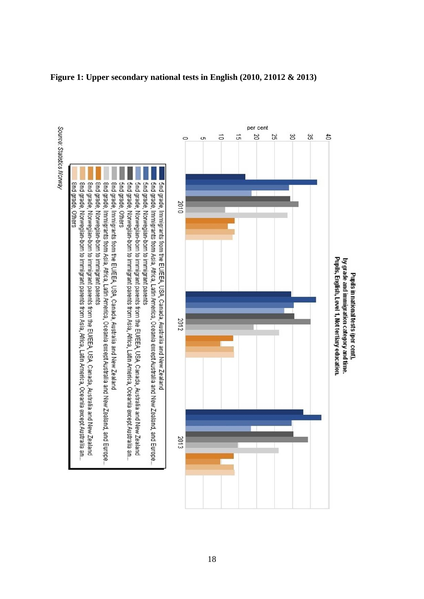

# **Figure 1: Upper secondary national tests in English (2010, 21012 & 2013)**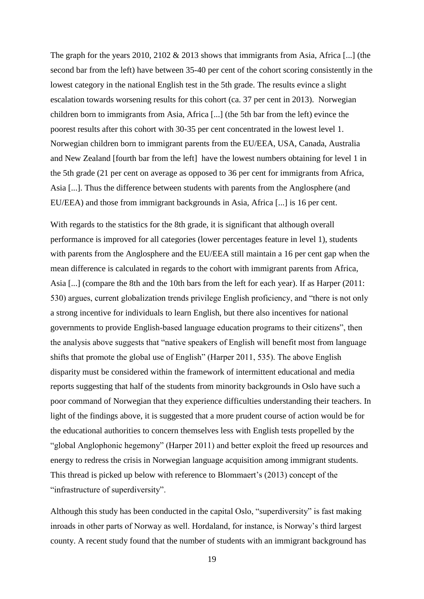The graph for the years 2010, 2102 & 2013 shows that immigrants from Asia, Africa [...] (the second bar from the left) have between 35-40 per cent of the cohort scoring consistently in the lowest category in the national English test in the 5th grade. The results evince a slight escalation towards worsening results for this cohort (ca. 37 per cent in 2013). Norwegian children born to immigrants from Asia, Africa [...] (the 5th bar from the left) evince the poorest results after this cohort with 30-35 per cent concentrated in the lowest level 1. Norwegian children born to immigrant parents from the EU/EEA, USA, Canada, Australia and New Zealand [fourth bar from the left] have the lowest numbers obtaining for level 1 in the 5th grade (21 per cent on average as opposed to 36 per cent for immigrants from Africa, Asia [...]. Thus the difference between students with parents from the Anglosphere (and EU/EEA) and those from immigrant backgrounds in Asia, Africa [...] is 16 per cent.

With regards to the statistics for the 8th grade, it is significant that although overall performance is improved for all categories (lower percentages feature in level 1), students with parents from the Anglosphere and the EU/EEA still maintain a 16 per cent gap when the mean difference is calculated in regards to the cohort with immigrant parents from Africa, Asia [...] (compare the 8th and the 10th bars from the left for each year). If as Harper (2011: 530) argues, current globalization trends privilege English proficiency, and "there is not only a strong incentive for individuals to learn English, but there also incentives for national governments to provide English-based language education programs to their citizens", then the analysis above suggests that "native speakers of English will benefit most from language shifts that promote the global use of English" (Harper 2011, 535). The above English disparity must be considered within the framework of intermittent educational and media reports suggesting that half of the students from minority backgrounds in Oslo have such a poor command of Norwegian that they experience difficulties understanding their teachers. In light of the findings above, it is suggested that a more prudent course of action would be for the educational authorities to concern themselves less with English tests propelled by the "global Anglophonic hegemony" (Harper 2011) and better exploit the freed up resources and energy to redress the crisis in Norwegian language acquisition among immigrant students. This thread is picked up below with reference to Blommaert's (2013) concept of the "infrastructure of superdiversity".

Although this study has been conducted in the capital Oslo, "superdiversity" is fast making inroads in other parts of Norway as well. Hordaland, for instance, is Norway's third largest county. A recent study found that the number of students with an immigrant background has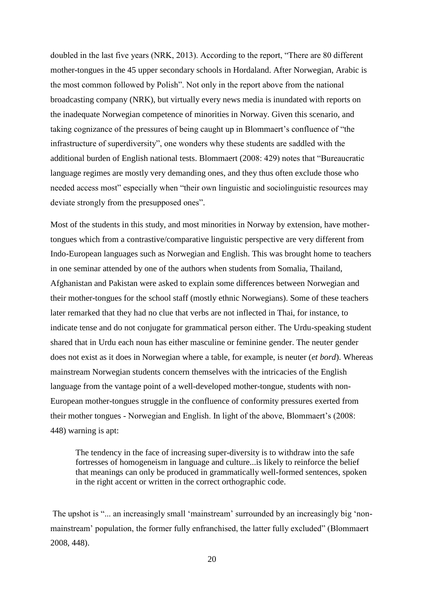doubled in the last five years (NRK, 2013). According to the report, "There are 80 different mother-tongues in the 45 upper secondary schools in Hordaland. After Norwegian, Arabic is the most common followed by Polish". Not only in the report above from the national broadcasting company (NRK), but virtually every news media is inundated with reports on the inadequate Norwegian competence of minorities in Norway. Given this scenario, and taking cognizance of the pressures of being caught up in Blommaert's confluence of "the infrastructure of superdiversity", one wonders why these students are saddled with the additional burden of English national tests. Blommaert (2008: 429) notes that "Bureaucratic language regimes are mostly very demanding ones, and they thus often exclude those who needed access most" especially when "their own linguistic and sociolinguistic resources may deviate strongly from the presupposed ones".

Most of the students in this study, and most minorities in Norway by extension, have mothertongues which from a contrastive/comparative linguistic perspective are very different from Indo-European languages such as Norwegian and English. This was brought home to teachers in one seminar attended by one of the authors when students from Somalia, Thailand, Afghanistan and Pakistan were asked to explain some differences between Norwegian and their mother-tongues for the school staff (mostly ethnic Norwegians). Some of these teachers later remarked that they had no clue that verbs are not inflected in Thai, for instance, to indicate tense and do not conjugate for grammatical person either. The Urdu-speaking student shared that in Urdu each noun has either masculine or feminine gender. The neuter gender does not exist as it does in Norwegian where a table, for example, is neuter (*et bord*). Whereas mainstream Norwegian students concern themselves with the intricacies of the English language from the vantage point of a well-developed mother-tongue, students with non-European mother-tongues struggle in the confluence of conformity pressures exerted from their mother tongues - Norwegian and English. In light of the above, Blommaert's (2008: 448) warning is apt:

The tendency in the face of increasing super-diversity is to withdraw into the safe fortresses of homogeneism in language and culture...is likely to reinforce the belief that meanings can only be produced in grammatically well-formed sentences, spoken in the right accent or written in the correct orthographic code.

The upshot is "... an increasingly small 'mainstream' surrounded by an increasingly big 'nonmainstream' population, the former fully enfranchised, the latter fully excluded" (Blommaert 2008, 448).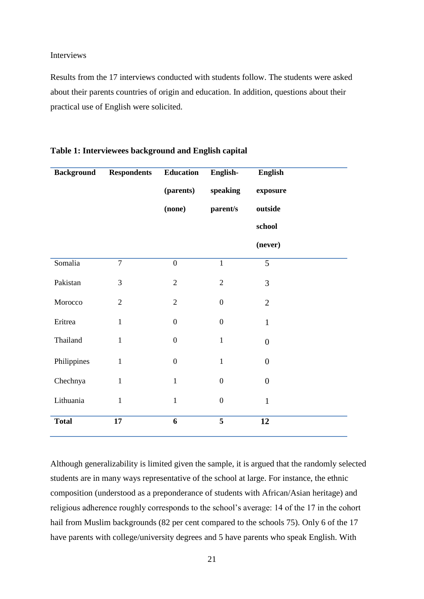## Interviews

Results from the 17 interviews conducted with students follow. The students were asked about their parents countries of origin and education. In addition, questions about their practical use of English were solicited.

| <b>Background</b> | <b>Respondents</b> | Education        | English-         | <b>English</b>   |
|-------------------|--------------------|------------------|------------------|------------------|
|                   |                    | (parents)        | speaking         | exposure         |
|                   |                    | (none)           | parent/s         | outside          |
|                   |                    |                  |                  | school           |
|                   |                    |                  |                  | (never)          |
| Somalia           | $\overline{7}$     | $\boldsymbol{0}$ | $\mathbf{1}$     | 5                |
| Pakistan          | 3                  | $\overline{2}$   | $\overline{2}$   | 3                |
| Morocco           | $\overline{2}$     | $\overline{2}$   | $\boldsymbol{0}$ | $\overline{2}$   |
| Eritrea           | $\mathbf{1}$       | $\overline{0}$   | $\boldsymbol{0}$ | $\mathbf{1}$     |
| Thailand          | $\mathbf{1}$       | $\boldsymbol{0}$ | $\mathbf{1}$     | $\boldsymbol{0}$ |
| Philippines       | $\mathbf{1}$       | $\overline{0}$   | $\mathbf{1}$     | $\boldsymbol{0}$ |
| Chechnya          | $\mathbf{1}$       | $\mathbf{1}$     | $\boldsymbol{0}$ | $\overline{0}$   |
| Lithuania         | $\mathbf{1}$       | $\mathbf{1}$     | $\boldsymbol{0}$ | $\mathbf{1}$     |
| <b>Total</b>      | 17                 | 6                | 5                | 12               |

## **Table 1: Interviewees background and English capital**

Although generalizability is limited given the sample, it is argued that the randomly selected students are in many ways representative of the school at large. For instance, the ethnic composition (understood as a preponderance of students with African/Asian heritage) and religious adherence roughly corresponds to the school's average: 14 of the 17 in the cohort hail from Muslim backgrounds (82 per cent compared to the schools 75). Only 6 of the 17 have parents with college/university degrees and 5 have parents who speak English. With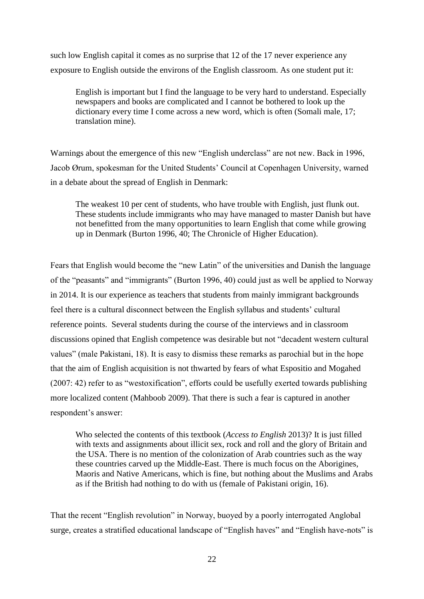such low English capital it comes as no surprise that 12 of the 17 never experience any exposure to English outside the environs of the English classroom. As one student put it:

English is important but I find the language to be very hard to understand. Especially newspapers and books are complicated and I cannot be bothered to look up the dictionary every time I come across a new word, which is often (Somali male, 17; translation mine).

Warnings about the emergence of this new "English underclass" are not new. Back in 1996, Jacob Ørum, spokesman for the United Students' Council at Copenhagen University, warned in a debate about the spread of English in Denmark:

The weakest 10 per cent of students, who have trouble with English, just flunk out. These students include immigrants who may have managed to master Danish but have not benefitted from the many opportunities to learn English that come while growing up in Denmark (Burton 1996, 40; The Chronicle of Higher Education).

Fears that English would become the "new Latin" of the universities and Danish the language of the "peasants" and "immigrants" (Burton 1996, 40) could just as well be applied to Norway in 2014. It is our experience as teachers that students from mainly immigrant backgrounds feel there is a cultural disconnect between the English syllabus and students' cultural reference points. Several students during the course of the interviews and in classroom discussions opined that English competence was desirable but not "decadent western cultural values" (male Pakistani, 18). It is easy to dismiss these remarks as parochial but in the hope that the aim of English acquisition is not thwarted by fears of what Espositio and Mogahed (2007: 42) refer to as "westoxification", efforts could be usefully exerted towards publishing more localized content (Mahboob 2009). That there is such a fear is captured in another respondent's answer:

Who selected the contents of this textbook (*Access to English* 2013)? It is just filled with texts and assignments about illicit sex, rock and roll and the glory of Britain and the USA. There is no mention of the colonization of Arab countries such as the way these countries carved up the Middle-East. There is much focus on the Aborigines, Maoris and Native Americans, which is fine, but nothing about the Muslims and Arabs as if the British had nothing to do with us (female of Pakistani origin, 16).

That the recent "English revolution" in Norway, buoyed by a poorly interrogated Anglobal surge, creates a stratified educational landscape of "English haves" and "English have-nots" is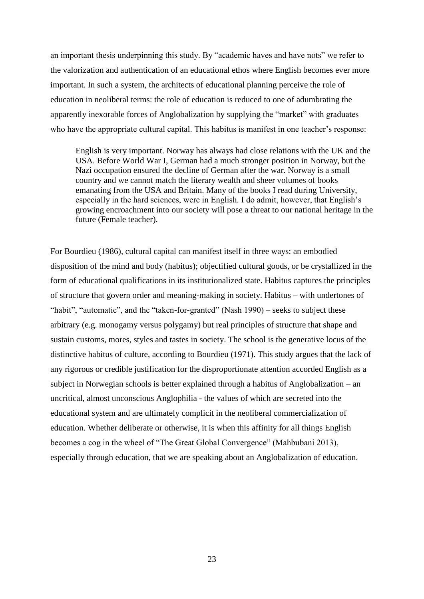an important thesis underpinning this study. By "academic haves and have nots" we refer to the valorization and authentication of an educational ethos where English becomes ever more important. In such a system, the architects of educational planning perceive the role of education in neoliberal terms: the role of education is reduced to one of adumbrating the apparently inexorable forces of Anglobalization by supplying the "market" with graduates who have the appropriate cultural capital. This habitus is manifest in one teacher's response:

English is very important. Norway has always had close relations with the UK and the USA. Before World War I, German had a much stronger position in Norway, but the Nazi occupation ensured the decline of German after the war. Norway is a small country and we cannot match the literary wealth and sheer volumes of books emanating from the USA and Britain. Many of the books I read during University, especially in the hard sciences, were in English. I do admit, however, that English's growing encroachment into our society will pose a threat to our national heritage in the future (Female teacher).

For Bourdieu (1986), cultural capital can manifest itself in three ways: an embodied disposition of the mind and body (habitus); objectified cultural goods, or be crystallized in the form of educational qualifications in its institutionalized state. Habitus captures the principles of structure that govern order and meaning-making in society. Habitus – with undertones of "habit", "automatic", and the "taken-for-granted" (Nash 1990) – seeks to subject these arbitrary (e.g. monogamy versus polygamy) but real principles of structure that shape and sustain customs, mores, styles and tastes in society. The school is the generative locus of the distinctive habitus of culture, according to Bourdieu (1971). This study argues that the lack of any rigorous or credible justification for the disproportionate attention accorded English as a subject in Norwegian schools is better explained through a habitus of Anglobalization – an uncritical, almost unconscious Anglophilia - the values of which are secreted into the educational system and are ultimately complicit in the neoliberal commercialization of education. Whether deliberate or otherwise, it is when this affinity for all things English becomes a cog in the wheel of "The Great Global Convergence" (Mahbubani 2013), especially through education, that we are speaking about an Anglobalization of education.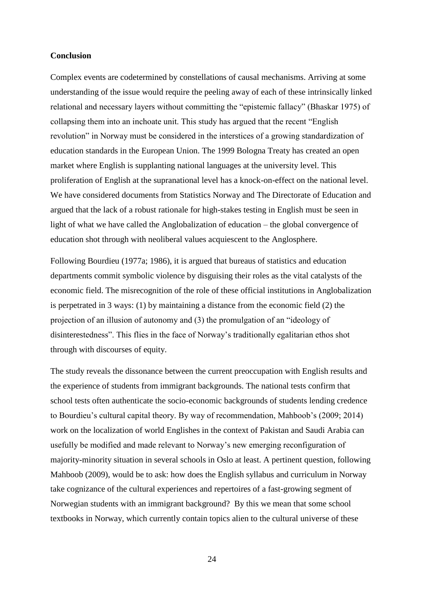## **Conclusion**

Complex events are codetermined by constellations of causal mechanisms. Arriving at some understanding of the issue would require the peeling away of each of these intrinsically linked relational and necessary layers without committing the "epistemic fallacy" (Bhaskar 1975) of collapsing them into an inchoate unit. This study has argued that the recent "English revolution" in Norway must be considered in the interstices of a growing standardization of education standards in the European Union. The 1999 Bologna Treaty has created an open market where English is supplanting national languages at the university level. This proliferation of English at the supranational level has a knock-on-effect on the national level. We have considered documents from Statistics Norway and The Directorate of Education and argued that the lack of a robust rationale for high-stakes testing in English must be seen in light of what we have called the Anglobalization of education – the global convergence of education shot through with neoliberal values acquiescent to the Anglosphere.

Following Bourdieu (1977a; 1986), it is argued that bureaus of statistics and education departments commit symbolic violence by disguising their roles as the vital catalysts of the economic field. The misrecognition of the role of these official institutions in Anglobalization is perpetrated in 3 ways: (1) by maintaining a distance from the economic field (2) the projection of an illusion of autonomy and (3) the promulgation of an "ideology of disinterestedness". This flies in the face of Norway's traditionally egalitarian ethos shot through with discourses of equity.

The study reveals the dissonance between the current preoccupation with English results and the experience of students from immigrant backgrounds. The national tests confirm that school tests often authenticate the socio-economic backgrounds of students lending credence to Bourdieu's cultural capital theory. By way of recommendation, Mahboob's (2009; 2014) work on the localization of world Englishes in the context of Pakistan and Saudi Arabia can usefully be modified and made relevant to Norway's new emerging reconfiguration of majority-minority situation in several schools in Oslo at least. A pertinent question, following Mahboob (2009), would be to ask: how does the English syllabus and curriculum in Norway take cognizance of the cultural experiences and repertoires of a fast-growing segment of Norwegian students with an immigrant background? By this we mean that some school textbooks in Norway, which currently contain topics alien to the cultural universe of these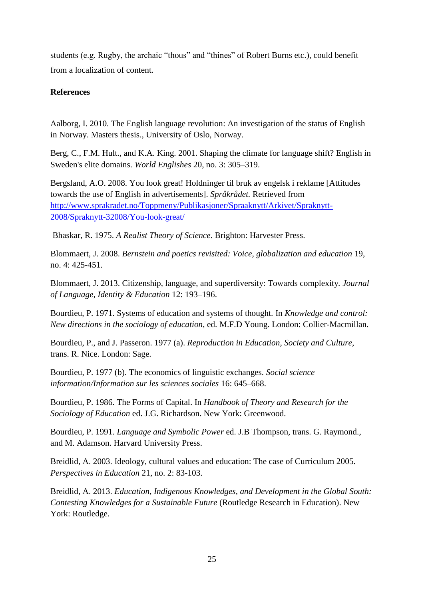students (e.g. Rugby, the archaic "thous" and "thines" of Robert Burns etc.), could benefit from a localization of content.

# **References**

Aalborg, I. 2010. The English language revolution: An investigation of the status of English in Norway. Masters thesis., University of Oslo, Norway.

Berg, C., F.M. Hult., and K.A. King. 2001. Shaping the climate for language shift? English in Sweden's elite domains. *World Englishes* 20, no. 3: 305–319.

Bergsland, A.O. 2008. You look great! Holdninger til bruk av engelsk i reklame [Attitudes towards the use of English in advertisements]. *Språkrådet.* Retrieved from [http://www.sprakradet.no/Toppmeny/Publikasjoner/Spraaknytt/Arkivet/Spraknytt-](http://www.sprakradet.no/Toppmeny/Publikasjoner/Spraaknytt/Arkivet/Spraknytt-2008/Spraknytt-32008/You-look-great/)[2008/Spraknytt-32008/You-look-great/](http://www.sprakradet.no/Toppmeny/Publikasjoner/Spraaknytt/Arkivet/Spraknytt-2008/Spraknytt-32008/You-look-great/)

Bhaskar, R. 1975. *A Realist Theory of Science*. Brighton: Harvester Press.

Blommaert, J. 2008. *Bernstein and poetics revisited: Voice, globalization and education* 19, no. 4: 425-451.

Blommaert, J. 2013. Citizenship, language, and superdiversity: Towards complexity*. Journal of Language, Identity & Education* 12: 193–196.

Bourdieu, P. 1971. Systems of education and systems of thought. In *Knowledge and control: New directions in the sociology of education*, ed. M.F.D Young. London: Collier-Macmillan.

Bourdieu, P., and J. Passeron. 1977 (a). *Reproduction in Education, Society and Culture*, trans. R. Nice. London: Sage.

Bourdieu, P. 1977 (b). The economics of linguistic exchanges. *Social science information/Information sur les sciences sociales* 16: 645–668.

Bourdieu, P. 1986. The Forms of Capital. In *Handbook of Theory and Research for the Sociology of Education* ed. J.G. Richardson. New York: Greenwood.

Bourdieu, P. 1991. *Language and Symbolic Power* ed. J.B Thompson, trans. G. Raymond., and M. Adamson. Harvard University Press.

Breidlid, A. 2003. Ideology, cultural values and education: The case of Curriculum 2005. *Perspectives in Education* 21, no. 2: 83-103.

Breidlid, A. 2013. *Education, Indigenous Knowledges, and Development in the Global South: Contesting Knowledges for a Sustainable Future* (Routledge Research in Education). New York: Routledge.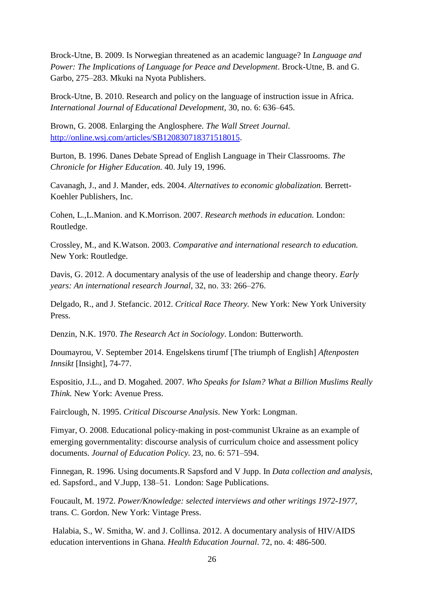Brock-Utne, B. 2009. Is Norwegian threatened as an academic language? In *Language and Power: The Implications of Language for Peace and Development*. Brock-Utne, B. and G. Garbo, 275–283. Mkuki na Nyota Publishers.

Brock-Utne, B. 2010. Research and policy on the language of instruction issue in Africa. *International Journal of Educational Development,* 30, no. 6: 636–645.

Brown, G. 2008. Enlarging the Anglosphere. *The Wall Street Journal*. [http://online.wsj.com/articles/SB120830718371518015.](http://online.wsj.com/articles/SB120830718371518015)

Burton, B. 1996. Danes Debate Spread of English Language in Their Classrooms. *The Chronicle for Higher Education.* 40. July 19, 1996.

Cavanagh, J., and J. Mander, eds. 2004. *Alternatives to economic globalization.* Berrett-Koehler Publishers, Inc.

Cohen, L.,L.Manion. and K.Morrison. 2007. *Research methods in education.* London: Routledge.

Crossley, M., and K.Watson. 2003. *Comparative and international research to education.*  New York: Routledge.

Davis, G. 2012. A documentary analysis of the use of leadership and change theory. *Early years: An international research Journal*, 32, no. 33: 266–276.

Delgado, R., and J. Stefancic. 2012. *Critical Race Theory.* New York: New York University Press.

Denzin, N.K. 1970. *The Research Act in Sociology*. London: Butterworth.

Doumayrou, V. September 2014. Engelskens tirumf [The triumph of English] *Aftenposten Innsikt* [Insight], 74-77.

Espositio, J.L., and D. Mogahed. 2007. *Who Speaks for Islam? What a Billion Muslims Really Think.* New York: Avenue Press.

Fairclough, N. 1995. *Critical Discourse Analysis*. New York: Longman.

Fimyar, O. 2008. Educational policy-making in post-communist Ukraine as an example of emerging governmentality: discourse analysis of curriculum choice and assessment policy documents. *Journal of Education Policy.* 23, no. 6: 571–594.

Finnegan, R. 1996. Using documents.R Sapsford and V Jupp. In *Data collection and analysis,*  ed. Sapsford., and V.Jupp, 138–51. London: Sage Publications.

Foucault, M. 1972. *Power/Knowledge: selected interviews and other writings 1972-1977,* trans. C. Gordon. New York: Vintage Press.

Halabia, S., W. Smitha, W. and J. Collinsa. 2012. A documentary analysis of HIV/AIDS education interventions in Ghana. *Health Education Journal*. 72, no. 4: 486-500.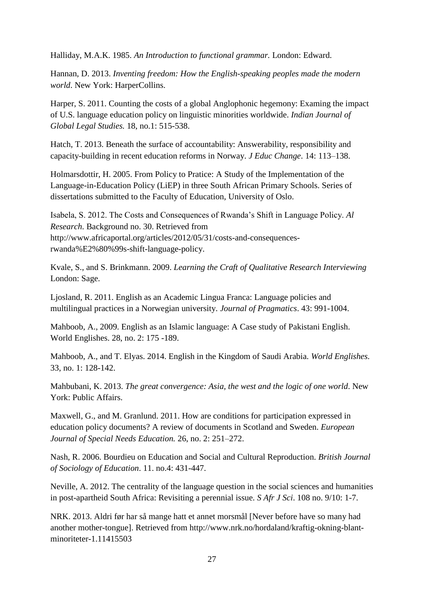Halliday, M.A.K. 1985. *An Introduction to functional grammar.* London: Edward.

Hannan, D. 2013. *Inventing freedom: How the English-speaking peoples made the modern world*. New York: HarperCollins.

Harper, S. 2011. Counting the costs of a global Anglophonic hegemony: Examing the impact of U.S. language education policy on linguistic minorities worldwide. *Indian Journal of Global Legal Studies.* 18, no.1: 515-538.

Hatch, T. 2013. Beneath the surface of accountability: Answerability, responsibility and capacity-building in recent education reforms in Norway. *J Educ Change*. 14: 113–138.

Holmarsdottir, H. 2005. From Policy to Pratice: A Study of the Implementation of the Language-in-Education Policy (LiEP) in three South African Primary Schools. Series of dissertations submitted to the Faculty of Education, University of Oslo.

Isabela, S. 2012. The Costs and Consequences of Rwanda's Shift in Language Policy. *Al Research*. Background no. 30. Retrieved from http://www.africaportal.org/articles/2012/05/31/costs-and-consequencesrwanda%E2%80%99s-shift-language-policy.

Kvale, S., and S. Brinkmann. 2009. *Learning the Craft of Qualitative Research Interviewing*  London: Sage.

Ljosland, R. 2011. English as an Academic Lingua Franca: Language policies and multilingual practices in a Norwegian university. *Journal of Pragmatics*. 43: 991-1004.

Mahboob, A., 2009. English as an Islamic language: A Case study of Pakistani English. World Englishes. 28, no. 2: 175 -189.

Mahboob, A., and T. Elyas. 2014. English in the Kingdom of Saudi Arabia. *World Englishes.*  33, no. 1: 128-142.

Mahbubani, K. 2013. *The great convergence: Asia, the west and the logic of one world*. New York: Public Affairs.

Maxwell, G., and M. Granlund. 2011. How are conditions for participation expressed in education policy documents? A review of documents in Scotland and Sweden. *European Journal of Special Needs Education.* 26, no. 2: 251–272.

Nash, R. 2006. Bourdieu on Education and Social and Cultural Reproduction. *British Journal of Sociology of Education*. 11. no.4: 431-447.

Neville, A. 2012. The centrality of the language question in the social sciences and humanities in post-apartheid South Africa: Revisiting a perennial issue. *S Afr J Sci*. 108 no. 9/10: 1-7.

NRK. 2013. Aldri før har så mange hatt et annet morsmål [Never before have so many had another mother-tongue]. Retrieved from http://www.nrk.no/hordaland/kraftig-okning-blantminoriteter-1.11415503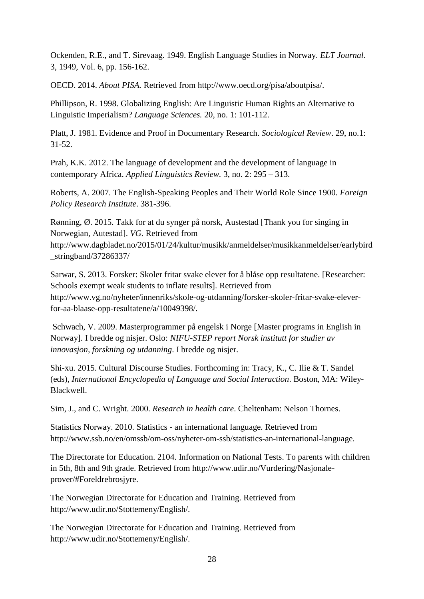Ockenden, R.E., and T. Sirevaag. 1949. English Language Studies in Norway. *ELT Journal*. 3, 1949, Vol. 6, pp. 156-162.

OECD. 2014. *About PISA.* Retrieved from http://www.oecd.org/pisa/aboutpisa/.

Phillipson, R. 1998. Globalizing English: Are Linguistic Human Rights an Alternative to Linguistic Imperialism? *Language Sciences.* 20, no. 1: 101-112.

Platt, J. 1981. Evidence and Proof in Documentary Research. *Sociological Review*. 29, no.1: 31-52.

Prah, K.K. 2012. The language of development and the development of language in contemporary Africa. *Applied Linguistics Review.* 3, no. 2: 295 – 313.

Roberts, A. 2007. The English-Speaking Peoples and Their World Role Since 1900. *Foreign Policy Research Institute*. 381-396.

Rønning, Ø. 2015. Takk for at du synger på norsk, Austestad [Thank you for singing in Norwegian, Autestad]. *VG.* Retrieved from

http://www.dagbladet.no/2015/01/24/kultur/musikk/anmeldelser/musikkanmeldelser/earlybird \_stringband/37286337/

Sarwar, S. 2013. Forsker: Skoler fritar svake elever for å blåse opp resultatene. [Researcher: Schools exempt weak students to inflate results]. Retrieved from http://www.vg.no/nyheter/innenriks/skole-og-utdanning/forsker-skoler-fritar-svake-eleverfor-aa-blaase-opp-resultatene/a/10049398/.

Schwach, V. 2009. Masterprogrammer på engelsk i Norge [Master programs in English in Norway]. I bredde og nisjer. Oslo: *NIFU-STEP report Norsk institutt for studier av innovasjon, forskning og utdanning*. I bredde og nisjer.

Shi-xu. 2015. Cultural Discourse Studies. Forthcoming in: Tracy, K., C. Ilie & T. Sandel (eds), *International Encyclopedia of Language and Social Interaction*. Boston, MA: Wiley-Blackwell.

Sim, J., and C. Wright. 2000. *Research in health care*. Cheltenham: Nelson Thornes.

Statistics Norway. 2010. Statistics - an international language. Retrieved from http://www.ssb.no/en/omssb/om-oss/nyheter-om-ssb/statistics-an-international-language.

The Directorate for Education. 2104. Information on National Tests. To parents with children in 5th, 8th and 9th grade. Retrieved from http://www.udir.no/Vurdering/Nasjonaleprover/#Foreldrebrosjyre.

The Norwegian Directorate for Education and Training. Retrieved from http://www.udir.no/Stottemeny/English/.

The Norwegian Directorate for Education and Training. Retrieved from http://www.udir.no/Stottemeny/English/.